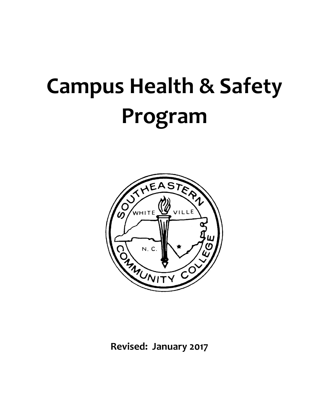# **Campus Health & Safety Program**



**Revised: January 2017**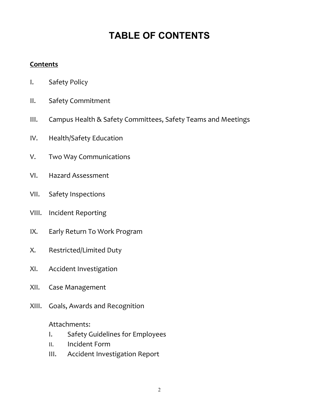# **TABLE OF CONTENTS**

# **Contents**

- I. Safety Policy
- II. Safety Commitment
- III. Campus Health & Safety Committees, Safety Teams and Meetings
- IV. Health/Safety Education
- V. Two Way Communications
- VI. Hazard Assessment
- VII. Safety Inspections
- VIII. Incident Reporting
- IX. Early Return To Work Program
- X. Restricted/Limited Duty
- XI. Accident Investigation
- XII. Case Management
- XIII. Goals, Awards and Recognition

# Attachments:

- I. Safety Guidelines for Employees
- II. Incident Form
- III. Accident Investigation Report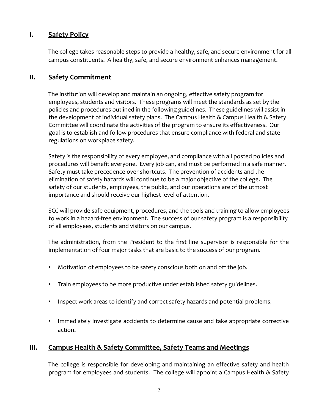# **I. Safety Policy**

The college takes reasonable steps to provide a healthy, safe, and secure environment for all campus constituents. A healthy, safe, and secure environment enhances management.

#### **II. Safety Commitment**

The institution will develop and maintain an ongoing, effective safety program for employees, students and visitors. These programs will meet the standards as set by the policies and procedures outlined in the following guidelines. These guidelines will assist in the development of individual safety plans. The Campus Health & Campus Health & Safety Committee will coordinate the activities of the program to ensure its effectiveness. Our goal is to establish and follow procedures that ensure compliance with federal and state regulations on workplace safety.

Safety is the responsibility of every employee, and compliance with all posted policies and procedures will benefit everyone. Every job can, and must be performed in a safe manner. Safety must take precedence over shortcuts. The prevention of accidents and the elimination of safety hazards will continue to be a major objective of the college. The safety of our students, employees, the public, and our operations are of the utmost importance and should receive our highest level of attention.

SCC will provide safe equipment, procedures, and the tools and training to allow employees to work in a hazard‐free environment. The success of our safety program is a responsibility of all employees, students and visitors on our campus.

The administration, from the President to the first line supervisor is responsible for the implementation of four major tasks that are basic to the success of our program.

- Motivation of employees to be safety conscious both on and off the job.
- Train employees to be more productive under established safety guidelines.
- Inspect work areas to identify and correct safety hazards and potential problems.
- Immediately investigate accidents to determine cause and take appropriate corrective action.

# **III. Campus Health & Safety Committee, Safety Teams and Meetings**

The college is responsible for developing and maintaining an effective safety and health program for employees and students. The college will appoint a Campus Health & Safety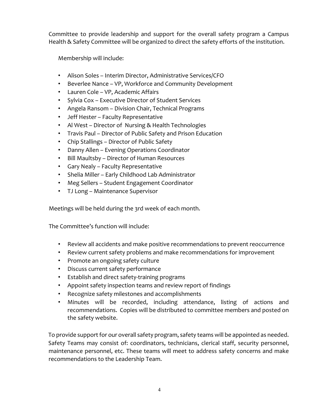Committee to provide leadership and support for the overall safety program a Campus Health & Safety Committee will be organized to direct the safety efforts of the institution.

Membership will include:

- Alison Soles Interim Director, Administrative Services/CFO
- Beverlee Nance VP, Workforce and Community Development
- Lauren Cole VP, Academic Affairs
- Sylvia Cox Executive Director of Student Services
- Angela Ransom Division Chair, Technical Programs
- Jeff Hester Faculty Representative
- Al West Director of Nursing & Health Technologies
- Travis Paul Director of Public Safety and Prison Education
- Chip Stallings Director of Public Safety
- Danny Allen Evening Operations Coordinator
- Bill Maultsby Director of Human Resources
- Gary Nealy Faculty Representative
- Shelia Miller Early Childhood Lab Administrator
- Meg Sellers Student Engagement Coordinator
- TJ Long Maintenance Supervisor

Meetings will be held during the 3rd week of each month.

The Committee's function will include:

- Review all accidents and make positive recommendations to prevent reoccurrence
- Review current safety problems and make recommendations for improvement
- Promote an ongoing safety culture
- Discuss current safety performance
- Establish and direct safety‐training programs
- Appoint safety inspection teams and review report of findings
- Recognize safety milestones and accomplishments
- Minutes will be recorded, including attendance, listing of actions and recommendations. Copies will be distributed to committee members and posted on the safety website.

To provide support for our overall safety program, safety teams will be appointed as needed. Safety Teams may consist of: coordinators, technicians, clerical staff, security personnel, maintenance personnel, etc. These teams will meet to address safety concerns and make recommendations to the Leadership Team.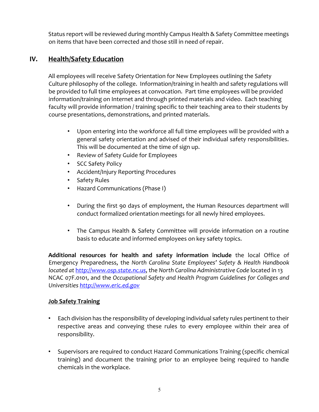Status report will be reviewed during monthly Campus Health & Safety Committee meetings on items that have been corrected and those still in need of repair.

# **IV. Health/Safety Education**

All employees will receive Safety Orientation for New Employees outlining the Safety Culture philosophy of the college. Information/training in health and safety regulations will be provided to full time employees at convocation. Part time employees will be provided information/training on Internet and through printed materials and video. Each teaching faculty will provide information / training specific to their teaching area to their students by course presentations, demonstrations, and printed materials.

- Upon entering into the workforce all full time employees will be provided with a general safety orientation and advised of their individual safety responsibilities. This will be documented at the time of sign up.
- Review of Safety Guide for Employees
- SCC Safety Policy
- Accident/Injury Reporting Procedures
- Safety Rules
- Hazard Communications (Phase I)
- During the first 90 days of employment, the Human Resources department will conduct formalized orientation meetings for all newly hired employees.
- The Campus Health & Safety Committee will provide information on a routine basis to educate and informed employees on key safety topics.

**Additional resources for health and safety information include** the local Office of Emergency Preparedness, the *North Carolina State Employees' Safety & Health Handbook located at* h*ttp://www.osp.state.nc.us*, the *North Carolina Administrative Code* located in 13 NCAC 07F.0101, and the *Occupational Safety and Health Program Guidelines for Colleges and Universities http://www.eric.ed.gov*

#### **Job Safety Training**

- Each division has the responsibility of developing individual safety rules pertinent to their respective areas and conveying these rules to every employee within their area of responsibility.
- Supervisors are required to conduct Hazard Communications Training (specific chemical training) and document the training prior to an employee being required to handle chemicals in the workplace.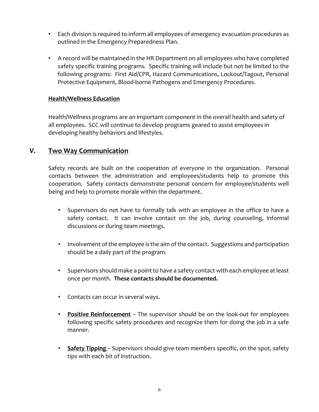- Each division is required to inform all employees of emergency evacuation procedures as outlined in the Emergency Preparedness Plan.
- A record will be maintained in the HR Department on all employees who have completed safety specific training programs. Specific training will include but not be limited to the following programs: First Aid/CPR, Hazard Communications, Lockout/Tagout, Personal Protective Equipment, Blood‐borne Pathogens and Emergency Procedures.

#### **Health/Wellness Education**

Health/Wellness programs are an important component in the overall health and safety of all employees. SCC will continue to develop programs geared to assist employees in developing healthy behaviors and lifestyles.

#### **V. Two Way Communication**

Safety records are built on the cooperation of everyone in the organization. Personal contacts between the administration and employees/students help to promote this cooperation. Safety contacts demonstrate personal concern for employee/students well being and help to promote morale within the department.

- Supervisors do not have to formally talk with an employee in the office to have a safety contact. It can involve contact on the job, during counseling, informal discussions or during team meetings.
- Involvement of the employee is the aim of the contact. Suggestions and participation should be a daily part of the program.
- Supervisors should make a point to have a safety contact with each employee at least once per month. **These contacts should be documented.**
- Contacts can occur in several ways.
- **Positive Reinforcement** The supervisor should be on the look‐out for employees following specific safety procedures and recognize them for doing the job in a safe manner.
- **Safety Tipping** Supervisors should give team members specific, on the spot, safety tips with each bit of instruction.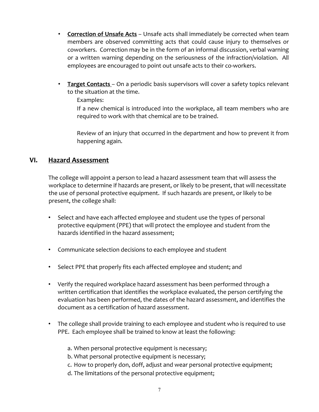- **Correction of Unsafe Acts** Unsafe acts shall immediately be corrected when team members are observed committing acts that could cause injury to themselves or coworkers. Correction may be in the form of an informal discussion, verbal warning or a written warning depending on the seriousness of the infraction/violation. All employees are encouraged to point out unsafe acts to their co-workers.
- **Target Contacts** On a periodic basis supervisors will cover a safety topics relevant to the situation at the time.

Examples:

If a new chemical is introduced into the workplace, all team members who are required to work with that chemical are to be trained.

Review of an injury that occurred in the department and how to prevent it from happening again.

# **VI. Hazard Assessment**

The college will appoint a person to lead a hazard assessment team that will assess the workplace to determine if hazards are present, or likely to be present, that will necessitate the use of personal protective equipment. If such hazards are present, or likely to be present, the college shall:

- Select and have each affected employee and student use the types of personal protective equipment (PPE) that will protect the employee and student from the hazards identified in the hazard assessment;
- Communicate selection decisions to each employee and student
- Select PPE that properly fits each affected employee and student; and
- Verify the required workplace hazard assessment has been performed through a written certification that identifies the workplace evaluated, the person certifying the evaluation has been performed, the dates of the hazard assessment, and identifies the document as a certification of hazard assessment.
- The college shall provide training to each employee and student who is required to use PPE. Each employee shall be trained to know at least the following:
	- a. When personal protective equipment is necessary;
	- b. What personal protective equipment is necessary;
	- c. How to properly don, doff, adjust and wear personal protective equipment;
	- d. The limitations of the personal protective equipment;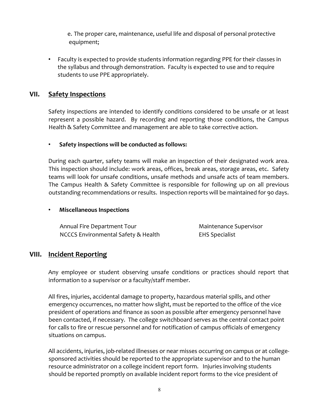e. The proper care, maintenance, useful life and disposal of personal protective equipment;

• Faculty is expected to provide students information regarding PPE for their classes in the syllabus and through demonstration. Faculty is expected to use and to require students to use PPE appropriately.

#### **VII. Safety Inspections**

Safety inspections are intended to identify conditions considered to be unsafe or at least represent a possible hazard. By recording and reporting those conditions, the Campus Health & Safety Committee and management are able to take corrective action.

#### • **Safety inspections will be conducted as follows:**

During each quarter, safety teams will make an inspection of their designated work area. This inspection should include: work areas, offices, break areas, storage areas, etc. Safety teams will look for unsafe conditions, unsafe methods and unsafe acts of team members. The Campus Health & Safety Committee is responsible for following up on all previous outstanding recommendations or results. Inspection reports will be maintained for 90 days.

#### • **Miscellaneous Inspections**

Annual Fire Department Tour **Maintenance Supervisor** NCCCS Environmental Safety & Health EHS Specialist

#### **VIII. Incident Reporting**

Any employee or student observing unsafe conditions or practices should report that information to a supervisor or a faculty/staff member.

All fires, injuries, accidental damage to property, hazardous material spills, and other emergency occurrences, no matter how slight, must be reported to the office of the vice president of operations and finance as soon as possible after emergency personnel have been contacted, if necessary. The college switchboard serves as the central contact point for calls to fire or rescue personnel and for notification of campus officials of emergency situations on campus.

All accidents, injuries, job-related illnesses or near misses occurring on campus or at collegesponsored activities should be reported to the appropriate supervisor and to the human resource administrator on a college incident report form. Injuries involving students should be reported promptly on available incident report forms to the vice president of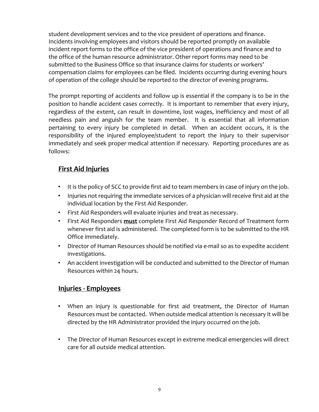student development services and to the vice president of operations and finance. Incidents involving employees and visitors should be reported promptly on available incident report forms to the office of the vice president of operations and finance and to the office of the human resource administrator. Other report forms may need to be submitted to the Business Office so that insurance claims for students or workers' compensation claims for employees can be filed. Incidents occurring during evening hours of operation of the college should be reported to the director of evening programs.

The prompt reporting of accidents and follow up is essential if the company is to be in the position to handle accident cases correctly. It is important to remember that every injury, regardless of the extent, can result in downtime, lost wages, inefficiency and most of all needless pain and anguish for the team member. It is essential that all information pertaining to every injury be completed in detail. When an accident occurs, it is the responsibility of the injured employee/student to report the injury to their supervisor immediately and seek proper medical attention if necessary. Reporting procedures are as follows:

# **First Aid Injuries**

- It is the policy of SCC to provide first aid to team members in case of injury on the job.
- Injuries not requiring the immediate services of a physician will receive first aid at the individual location by the First Aid Responder.
- First Aid Responders will evaluate injuries and treat as necessary.
- First Aid Responders **must** complete First Aid Responder Record of Treatment form whenever first aid is administered. The completed form is to be submitted to the HR Office immediately.
- Director of Human Resources should be notified via e‐mail so as to expedite accident investigations.
- An accident investigation will be conducted and submitted to the Director of Human Resources within 24 hours.

# **Injuries ‐ Employees**

- When an injury is questionable for first aid treatment, the Director of Human Resources must be contacted. When outside medical attention is necessary it will be directed by the HR Administrator provided the injury occurred on the job.
- The Director of Human Resources except in extreme medical emergencies will direct care for all outside medical attention.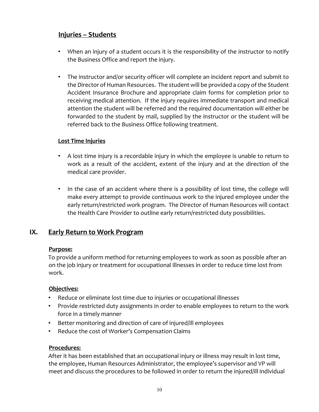# **Injuries – Students**

- When an injury of a student occurs it is the responsibility of the instructor to notify the Business Office and report the injury.
- The instructor and/or security officer will complete an incident report and submit to the Director of Human Resources. The student will be provided a copy of the Student Accident Insurance Brochure and appropriate claim forms for completion prior to receiving medical attention. If the injury requires immediate transport and medical attention the student will be referred and the required documentation will either be forwarded to the student by mail, supplied by the instructor or the student will be referred back to the Business Office following treatment.

#### **Lost Time Injuries**

- A lost time injury is a recordable injury in which the employee is unable to return to work as a result of the accident, extent of the injury and at the direction of the medical care provider.
- In the case of an accident where there is a possibility of lost time, the college will make every attempt to provide continuous work to the injured employee under the early return/restricted work program. The Director of Human Resources will contact the Health Care Provider to outline early return/restricted duty possibilities.

# **IX. Early Return to Work Program**

#### **Purpose:**

To provide a uniform method for returning employees to work as soon as possible after an on the job injury or treatment for occupational illnesses in order to reduce time lost from work.

#### **Objectives:**

- Reduce or eliminate lost time due to injuries or occupational illnesses
- Provide restricted duty assignments in order to enable employees to return to the work force in a timely manner
- Better monitoring and direction of care of injured/ill employees
- Reduce the cost of Worker's Compensation Claims

#### **Procedures:**

After it has been established that an occupational injury or illness may result in lost time, the employee, Human Resources Administrator, the employee's supervisor and VP will meet and discuss the procedures to be followed in order to return the injured/ill individual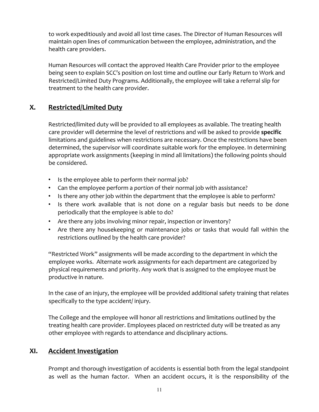to work expeditiously and avoid all lost time cases. The Director of Human Resources will maintain open lines of communication between the employee, administration, and the health care providers.

Human Resources will contact the approved Health Care Provider prior to the employee being seen to explain SCC's position on lost time and outline our Early Return to Work and Restricted/Limited Duty Programs. Additionally, the employee will take a referral slip for treatment to the health care provider.

# **X. Restricted/Limited Duty**

Restricted/limited duty will be provided to all employees as available. The treating health care provider will determine the level of restrictions and will be asked to provide **specific** limitations and guidelines when restrictions are necessary. Once the restrictions have been determined, the supervisor will coordinate suitable work for the employee. In determining appropriate work assignments (keeping in mind all limitations) the following points should be considered.

- Is the employee able to perform their normal job?
- Can the employee perform a *portion* of their normal job with assistance?
- Is there any other job within the department that the employee is able to perform?
- Is there work available that is not done on a regular basis but needs to be done periodically that the employee is able to do?
- Are there any jobs involving minor repair, inspection or inventory?
- Are there any housekeeping or maintenance jobs or tasks that would fall within the restrictions outlined by the health care provider?

"Restricted Work" assignments will be made according to the department in which the employee works. Alternate work assignments for each department are categorized by physical requirements and priority. Any work that is assigned to the employee must be productive in nature.

In the case of an injury, the employee will be provided additional safety training that relates specifically to the type accident/ injury.

The College and the employee will honor all restrictions and limitations outlined by the treating health care provider. Employees placed on restricted duty will be treated as any other employee with regards to attendance and disciplinary actions.

# **XI. Accident Investigation**

Prompt and thorough investigation of accidents is essential both from the legal standpoint as well as the human factor. When an accident occurs, it is the responsibility of the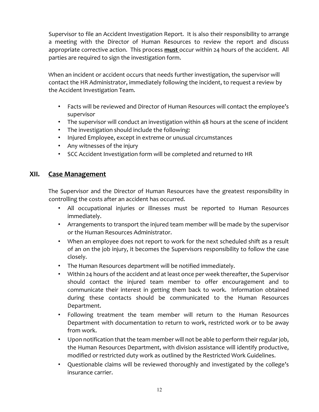Supervisor to file an Accident Investigation Report. It is also their responsibility to arrange a meeting with the Director of Human Resources to review the report and discuss appropriate corrective action. This process **must** occur within 24 hours of the accident. All parties are required to sign the investigation form.

When an incident or accident occurs that needs further investigation, the supervisor will contact the HR Administrator, immediately following the incident, to request a review by the Accident Investigation Team.

- Facts will be reviewed and Director of Human Resources will contact the employee's supervisor
- The supervisor will conduct an investigation within 48 hours at the scene of incident
- The investigation should include the following:
- Injured Employee, except in extreme or unusual circumstances
- Any witnesses of the injury
- SCC Accident Investigation form will be completed and returned to HR

#### **XII. Case Management**

The Supervisor and the Director of Human Resources have the greatest responsibility in controlling the costs after an accident has occurred.

- All occupational injuries or illnesses must be reported to Human Resources immediately.
- Arrangements to transport the injured team member will be made by the supervisor or the Human Resources Administrator.
- When an employee does not report to work for the next scheduled shift as a result of an on the job injury, it becomes the Supervisors responsibility to follow the case closely.
- The Human Resources department will be notified immediately.
- Within 24 hours of the accident and at least once per week thereafter, the Supervisor should contact the injured team member to offer encouragement and to communicate their interest in getting them back to work. Information obtained during these contacts should be communicated to the Human Resources Department.
- Following treatment the team member will return to the Human Resources Department with documentation to return to work, restricted work or to be away from work.
- Upon notification that the team member will not be able to perform their regular job, the Human Resources Department, with division assistance will identify productive, modified or restricted duty work as outlined by the Restricted Work Guidelines.
- Questionable claims will be reviewed thoroughly and investigated by the college's insurance carrier.